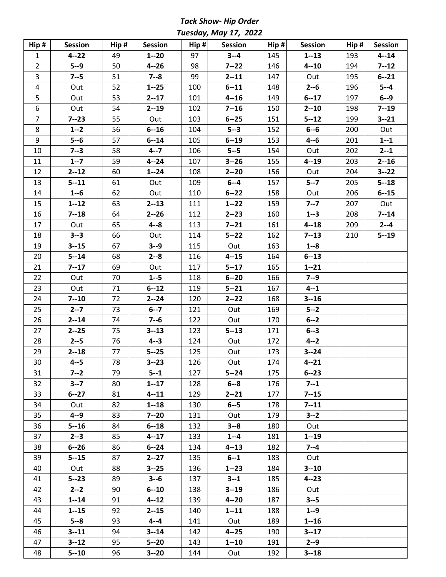*Tack Show- Hip Order Tuesday, May 17, 2022*

| Hip#           | <b>Session</b> | $\mathsf{Hip}\; \sharp$ | <b>Session</b> | $\text{Hip }#$ | Session  | Hip # | Session  | $\text{Hip }#$ | <b>Session</b> |
|----------------|----------------|-------------------------|----------------|----------------|----------|-------|----------|----------------|----------------|
| $\mathbf{1}$   | $4 - 22$       | 49                      | $1 - 20$       | 97             | $3 - 4$  | 145   | $1 - 13$ | 193            | $4 - 14$       |
| $\overline{2}$ | $5 - 9$        | 50                      | $4 - 26$       | 98             | $7 - 22$ | 146   | $4 - 10$ | 194            | $7 - 12$       |
| $\overline{3}$ | $7 - 5$        | 51                      | $7 - 8$        | 99             | $2 - 11$ | 147   | Out      | 195            | $6 - 21$       |
| $\overline{4}$ | Out            | 52                      | $1 - 25$       | 100            | $6 - 11$ | 148   | $2 - 6$  | 196            | $5 - 4$        |
| 5              | Out            | 53                      | $2 - 17$       | 101            | $4 - 16$ | 149   | $6 - 17$ | 197            | $6 - 9$        |
| 6              | Out            | 54                      | $2 - 19$       | 102            | $7 - 16$ | 150   | $2 - 10$ | 198            | $7 - 19$       |
| $\overline{7}$ | $7 - 23$       | 55                      | Out            | 103            | $6 - 25$ | 151   | $5 - 12$ | 199            | $3 - 21$       |
| 8              | $1 - 2$        | 56                      | $6 - 16$       | 104            | $5 - 3$  | 152   | $6 - 6$  | 200            | Out            |
| 9              | $5 - 6$        | 57                      | $6 - 14$       | 105            | $6 - 19$ | 153   | $4 - 6$  | 201            | $1 - 1$        |
| 10             | $7 - 3$        | 58                      | $4 - 7$        | 106            | $5 - -5$ | 154   | Out      | 202            | $2 - 1$        |
| 11             | $1 - 7$        | 59                      | $4 - 24$       | 107            | $3 - 26$ | 155   | $4 - 19$ | 203            | $2 - 16$       |
| 12             | $2 - 12$       | 60                      | $1 - 24$       | 108            | $2 - 20$ | 156   | Out      | 204            | $3 - 22$       |
| 13             | $5 - 11$       | 61                      | Out            | 109            | $6 - -4$ | 157   | $5 - 7$  | 205            | $5 - 18$       |
| 14             | $1 - 6$        | 62                      | Out            | 110            | $6 - 22$ | 158   | Out      | 206            | $6 - 15$       |
| 15             | $1 - 12$       | 63                      | $2 - 13$       | 111            | $1 - 22$ | 159   | $7 - 7$  | 207            | Out            |
| 16             | $7 - 18$       | 64                      | $2 - 26$       | 112            | $2 - 23$ | 160   | $1 - 3$  | 208            | $7 - 14$       |
| 17             | Out            | 65                      | $4 - 8$        | 113            | $7 - 21$ | 161   | $4 - 18$ | 209            | $2 - 4$        |
| 18             | $3 - 3$        | 66                      | Out            | 114            | $5 - 22$ | 162   | $7 - 13$ | 210            | $5 - 19$       |
| 19             | $3 - 15$       | 67                      | $3 - 9$        | 115            | Out      | 163   | $1 - 8$  |                |                |
| 20             | $5 - 14$       | 68                      | $2 - 8$        | 116            | $4 - 15$ | 164   | $6 - 13$ |                |                |
| 21             | $7 - 17$       | 69                      | Out            | 117            | $5 - 17$ | 165   | $1 - 21$ |                |                |
| 22             | Out            | 70                      | $1 - 5$        | 118            | $6 - 20$ | 166   | $7 - 9$  |                |                |
| 23             | Out            | 71                      | $6 - 12$       | 119            | $5 - 21$ | 167   | $4 - 1$  |                |                |
| 24             | $7 - 10$       | 72                      | $2 - 24$       | 120            | $2 - 22$ | 168   | $3 - 16$ |                |                |
| 25             | $2 - 7$        | 73                      | $6 - 7$        | 121            | Out      | 169   | $5 - 2$  |                |                |
| 26             | $2 - 14$       | 74                      | $7 - 6$        | 122            | Out      | 170   | $6 - 2$  |                |                |
| 27             | $2 - 25$       | 75                      | $3 - 13$       | 123            | $5 - 13$ | 171   | $6 - 3$  |                |                |
| 28             | $2 - 5$        | 76                      | $4 - 3$        | 124            | Out      | 172   | $4 - 2$  |                |                |
| 29             | $2 - 18$       | 77                      | $5 - 25$       | 125            | Out      | 173   | $3 - 24$ |                |                |
| 30             | $4 - 5$        | 78                      | $3 - 23$       | 126            | Out      | 174   | $4 - 21$ |                |                |
| 31             | $7 - 2$        | 79                      | $5 - 1$        | 127            | $5 - 24$ | 175   | $6 - 23$ |                |                |
| 32             | $3 - 7$        | 80                      | $1 - 17$       | 128            | $6 - 8$  | 176   | $7 - 1$  |                |                |
| 33             | $6 - 27$       | 81                      | $4 - 11$       | 129            | $2 - 21$ | 177   | $7 - 15$ |                |                |
| 34             | Out            | 82                      | $1 - 18$       | 130            | $6 - 5$  | 178   | $7 - 11$ |                |                |
| 35             | $4 - 9$        | 83                      | $7 - 20$       | 131            | Out      | 179   | $3 - 2$  |                |                |
| 36             | $5 - 16$       | 84                      | $6 - 18$       | 132            | $3 - 8$  | 180   | Out      |                |                |
| 37             | $2 - 3$        | 85                      | $4 - 17$       | 133            | $1 - 4$  | 181   | $1 - 19$ |                |                |
| 38             | $6 - 26$       | 86                      | $6 - 24$       | 134            | $4 - 13$ | 182   | $7 - 4$  |                |                |
| 39             | $5 - 15$       | 87                      | $2 - 27$       | 135            | $6 - 1$  | 183   | Out      |                |                |
| 40             | Out            | 88                      | $3 - 25$       | 136            | $1 - 23$ | 184   | $3 - 10$ |                |                |
| 41             | $5 - 23$       | 89                      | $3 - 6$        | 137            | $3 - 1$  | 185   | $4 - 23$ |                |                |
| 42             | $2 - 2$        | 90                      | $6 - 10$       | 138            | $3 - 19$ | 186   | Out      |                |                |
| 43             | $1 - 14$       | 91                      | $4 - 12$       | 139            | $4 - 20$ | 187   | $3 - 5$  |                |                |
| 44             | $1 - 15$       | 92                      | $2 - 15$       | 140            | $1 - 11$ | 188   | $1 - 9$  |                |                |
| 45             | $5 - 8$        | 93                      | $4 - 4$        | 141            | Out      | 189   | $1 - 16$ |                |                |
| 46             | $3 - 11$       | 94                      | $3 - 14$       | 142            | $4 - 25$ | 190   | $3 - 17$ |                |                |
| 47             | $3 - 12$       | 95                      | $5 - 20$       | 143            | $1 - 10$ | 191   | $2 - 9$  |                |                |
| 48             | $5 - 10$       | 96                      | $3 - 20$       | 144            | Out      | 192   | $3 - 18$ |                |                |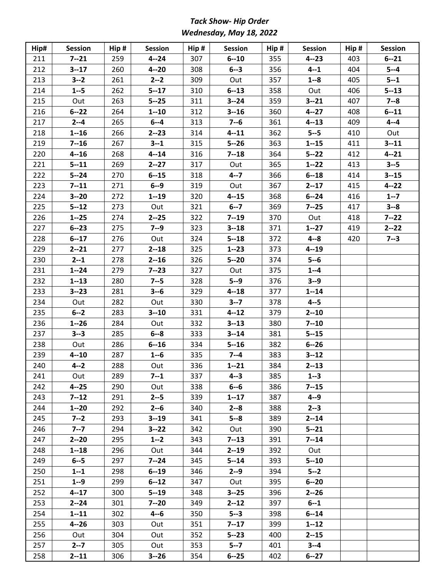# *Tack Show- Hip Order Wednesday, May 18, 2022*

| Hip# | <b>Session</b> | Hip # | <b>Session</b> | Hip # | <b>Session</b> | Hip# | Session  | Hip# | <b>Session</b> |
|------|----------------|-------|----------------|-------|----------------|------|----------|------|----------------|
| 211  | $7 - 21$       | 259   | $4 - 24$       | 307   | $6 - 10$       | 355  | $4 - 23$ | 403  | $6 - 21$       |
| 212  | $3 - 17$       | 260   | $4 - 20$       | 308   | $6 - 3$        | 356  | $4 - 1$  | 404  | $5 - -4$       |
| 213  | $3 - 2$        | 261   | $2 - 2$        | 309   | Out            | 357  | $1 - 8$  | 405  | $5 - 1$        |
| 214  | $1 - 5$        | 262   | $5 - 17$       | 310   | $6 - 13$       | 358  | Out      | 406  | $5 - 13$       |
| 215  | Out            | 263   | $5 - 25$       | 311   | $3 - 24$       | 359  | $3 - 21$ | 407  | $7 - 8$        |
| 216  | $6 - 22$       | 264   | $1 - 10$       | 312   | $3 - 16$       | 360  | $4 - 27$ | 408  | $6 - 11$       |
| 217  | $2 - 4$        | 265   | $6 - -4$       | 313   | $7 - 6$        | 361  | $4 - 13$ | 409  | $4 - 4$        |
| 218  | $1 - 16$       | 266   | $2 - 23$       | 314   | $4 - 11$       | 362  | $5 - 5$  | 410  | Out            |
| 219  | $7 - 16$       | 267   | $3 - 1$        | 315   | $5 - 26$       | 363  | $1 - 15$ | 411  | $3 - 11$       |
| 220  | $4 - 16$       | 268   | $4 - 14$       | 316   | $7 - 18$       | 364  | $5 - 22$ | 412  | $4 - 21$       |
| 221  | $5 - 11$       | 269   | $2 - 27$       | 317   | Out            | 365  | $1 - 22$ | 413  | $3 - 5$        |
| 222  | $5 - 24$       | 270   | $6 - 15$       | 318   | $4 - 7$        | 366  | $6 - 18$ | 414  | $3 - 15$       |
| 223  | $7 - 11$       | 271   | $6 - -9$       | 319   | Out            | 367  | $2 - 17$ | 415  | $4 - 22$       |
| 224  | $3 - 20$       | 272   | $1 - 19$       | 320   | $4 - 15$       | 368  | $6 - 24$ | 416  | $1 - 7$        |
| 225  | $5 - 12$       | 273   | Out            | 321   | $6 - 7$        | 369  | $7 - 25$ | 417  | $3 - 8$        |
| 226  | $1 - 25$       | 274   | $2 - 25$       | 322   | $7 - 19$       | 370  | Out      | 418  | $7 - 22$       |
| 227  | $6 - 23$       | 275   | $7 - 9$        | 323   | $3 - 18$       | 371  | $1 - 27$ | 419  | $2 - 22$       |
| 228  | $6 - 17$       | 276   | Out            | 324   | $5 - 18$       | 372  | $4 - 8$  | 420  | $7 - 3$        |
| 229  | $2 - 21$       | 277   | $2 - 18$       | 325   | $1 - 23$       | 373  | $4 - 19$ |      |                |
| 230  | $2 - 1$        | 278   | $2 - 16$       | 326   | $5 - 20$       | 374  | $5 - 6$  |      |                |
| 231  | $1 - 24$       | 279   | $7 - 23$       | 327   | Out            | 375  | $1 - -4$ |      |                |
| 232  | $1 - 13$       | 280   | $7 - 5$        | 328   | $5 - 9$        | 376  | $3 - 9$  |      |                |
| 233  | $3 - 23$       | 281   | $3 - 6$        | 329   | $4 - 18$       | 377  | $1 - 14$ |      |                |
| 234  | Out            | 282   | Out            | 330   | $3 - 7$        | 378  | $4 - 5$  |      |                |
| 235  | $6 - 2$        | 283   | $3 - 10$       | 331   | $4 - 12$       | 379  | $2 - 10$ |      |                |
| 236  | $1 - 26$       | 284   | Out            | 332   | $3 - 13$       | 380  | $7 - 10$ |      |                |
| 237  | $3 - 3$        | 285   | $6 - 8$        | 333   | $3 - 14$       | 381  | $5 - 15$ |      |                |
| 238  | Out            | 286   | $6 - 16$       | 334   | $5 - 16$       | 382  | $6 - 26$ |      |                |
| 239  | $4 - 10$       | 287   | $1 - 6$        | 335   | $7 - 4$        | 383  | $3 - 12$ |      |                |
| 240  | $4 - 2$        | 288   | Out            | 336   | $1 - 21$       | 384  | $2 - 13$ |      |                |
| 241  | Out            | 289   | $7 - 1$        | 337   | $4 - 3$        | 385  | $1 - 3$  |      |                |
| 242  | $4 - 25$       | 290   | Out            | 338   | $6 - 6$        | 386  | $7 - 15$ |      |                |
| 243  | $7 - 12$       | 291   | $2 - 5$        | 339   | $1 - 17$       | 387  | $4 - 9$  |      |                |
| 244  | $1 - 20$       | 292   | $2 - 6$        | 340   | $2 - 8$        | 388  | $2 - 3$  |      |                |
| 245  | $7 - 2$        | 293   | $3 - 19$       | 341   | $5 - 8$        | 389  | $2 - 14$ |      |                |
| 246  | $7 - 7$        | 294   | $3 - 22$       | 342   | Out            | 390  | $5 - 21$ |      |                |
| 247  | $2 - 20$       | 295   | $1 - 2$        | 343   | $7 - 13$       | 391  | $7 - 14$ |      |                |
| 248  | $1 - 18$       | 296   | Out            | 344   | $2 - 19$       | 392  | Out      |      |                |
| 249  | $6 - 5$        | 297   | $7 - 24$       | 345   | $5 - 14$       | 393  | $5 - 10$ |      |                |
| 250  | $1 - 1$        | 298   | $6 - 19$       | 346   | $2 - 9$        | 394  | $5 - 2$  |      |                |
| 251  | $1 - 9$        | 299   | $6 - 12$       | 347   | Out            | 395  | $6 - 20$ |      |                |
| 252  | $4 - 17$       | 300   | $5 - 19$       | 348   | $3 - 25$       | 396  | $2 - 26$ |      |                |
| 253  | $2 - 24$       | 301   | $7 - 20$       | 349   | $2 - 12$       | 397  | $6 - 1$  |      |                |
| 254  | $1 - 11$       | 302   | $4 - 6$        | 350   | $5 - 3$        | 398  | $6 - 14$ |      |                |
| 255  | $4 - 26$       | 303   | Out            | 351   | $7 - 17$       | 399  | $1 - 12$ |      |                |
| 256  | Out            | 304   | Out            | 352   | $5 - 23$       | 400  | $2 - 15$ |      |                |
| 257  | $2 - 7$        | 305   | Out            | 353   | $5 - 7$        | 401  | $3 - 4$  |      |                |
| 258  | $2 - 11$       | 306   | $3 - 26$       | 354   | $6 - 25$       | 402  | $6 - 27$ |      |                |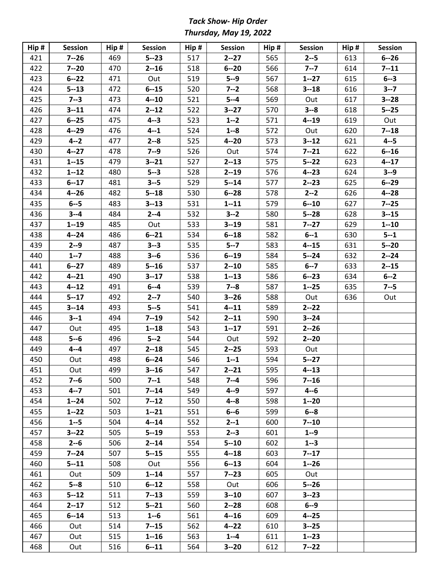# *Tack Show- Hip Order Thursday, May 19, 2022*

| Hip# | <b>Session</b> | Hip # | <b>Session</b> | $\mathsf{Hip}\,\sharp$ | Session  | Hip# | Session  | Hip # | <b>Session</b> |
|------|----------------|-------|----------------|------------------------|----------|------|----------|-------|----------------|
| 421  | $7 - 26$       | 469   | $5 - 23$       | 517                    | $2 - 27$ | 565  | $2 - 5$  | 613   | $6 - 26$       |
| 422  | $7 - 20$       | 470   | $2 - 16$       | 518                    | $6 - 20$ | 566  | $7 - 7$  | 614   | $7 - 11$       |
| 423  | $6 - 22$       | 471   | Out            | 519                    | $5 - 9$  | 567  | $1 - 27$ | 615   | $6 - 3$        |
| 424  | $5 - 13$       | 472   | $6 - 15$       | 520                    | $7 - 2$  | 568  | $3 - 18$ | 616   | $3 - 7$        |
| 425  | $7 - 3$        | 473   | $4 - 10$       | 521                    | $5 - -4$ | 569  | Out      | 617   | $3 - 28$       |
| 426  | $3 - 11$       | 474   | $2 - 12$       | 522                    | $3 - 27$ | 570  | $3 - 8$  | 618   | $5 - 25$       |
| 427  | $6 - 25$       | 475   | $4 - 3$        | 523                    | $1 - 2$  | 571  | $4 - 19$ | 619   | Out            |
| 428  | $4 - 29$       | 476   | $4 - 1$        | 524                    | $1 - 8$  | 572  | Out      | 620   | $7 - 18$       |
| 429  | $4 - 2$        | 477   | $2 - 8$        | 525                    | $4 - 20$ | 573  | $3 - 12$ | 621   | $4 - 5$        |
| 430  | $4 - 27$       | 478   | $7 - 9$        | 526                    | Out      | 574  | $7 - 21$ | 622   | $6 - 16$       |
| 431  | $1 - 15$       | 479   | $3 - 21$       | 527                    | $2 - 13$ | 575  | $5 - 22$ | 623   | $4 - 17$       |
| 432  | $1 - 12$       | 480   | $5 - 3$        | 528                    | $2 - 19$ | 576  | $4 - 23$ | 624   | $3 - 9$        |
| 433  | $6 - 17$       | 481   | $3 - 5$        | 529                    | $5 - 14$ | 577  | $2 - 23$ | 625   | $6 - 29$       |
| 434  | $4 - 26$       | 482   | $5 - 18$       | 530                    | $6 - 28$ | 578  | $2 - 2$  | 626   | $4 - 28$       |
| 435  | $6 - -5$       | 483   | $3 - 13$       | 531                    | $1 - 11$ | 579  | $6 - 10$ | 627   | $7 - 25$       |
| 436  | $3 - 4$        | 484   | $2 - -4$       | 532                    | $3 - 2$  | 580  | $5 - 28$ | 628   | $3 - 15$       |
| 437  | $1 - 19$       | 485   | Out            | 533                    | $3 - 19$ | 581  | $7 - 27$ | 629   | $1 - 10$       |
| 438  | $4 - 24$       | 486   | $6 - 21$       | 534                    | $6 - 18$ | 582  | $6 - 1$  | 630   | $5 - 1$        |
| 439  | $2 - -9$       | 487   | $3 - 3$        | 535                    | $5 - 7$  | 583  | $4 - 15$ | 631   | $5 - 20$       |
| 440  | $1 - 7$        | 488   | $3 - 6$        | 536                    | $6 - 19$ | 584  | $5 - 24$ | 632   | $2 - 24$       |
| 441  | $6 - 27$       | 489   | $5 - 16$       | 537                    | $2 - 10$ | 585  | $6 - 7$  | 633   | $2 - 15$       |
| 442  | $4 - 21$       | 490   | $3 - 17$       | 538                    | $1 - 13$ | 586  | $6 - 23$ | 634   | $6 - 2$        |
| 443  | $4 - 12$       | 491   | $6 - -4$       | 539                    | $7 - 8$  | 587  | $1 - 25$ | 635   | $7 - 5$        |
| 444  | $5 - 17$       | 492   | $2 - 7$        | 540                    | $3 - 26$ | 588  | Out      | 636   | Out            |
| 445  | $3 - 14$       | 493   | $5 - 5$        | 541                    | $4 - 11$ | 589  | $2 - 22$ |       |                |
| 446  | $3 - 1$        | 494   | $7 - 19$       | 542                    | $2 - 11$ | 590  | $3 - 24$ |       |                |
| 447  | Out            | 495   | $1 - 18$       | 543                    | $1 - 17$ | 591  | $2 - 26$ |       |                |
| 448  | $5 - 6$        | 496   | $5 - 2$        | 544                    | Out      | 592  | $2 - 20$ |       |                |
| 449  | $4 - 4$        | 497   | $2 - 18$       | 545                    | $2 - 25$ | 593  | Out      |       |                |
| 450  | Out            | 498   | $6 - 24$       | 546                    | $1 - 1$  | 594  | $5 - 27$ |       |                |
| 451  | Out            | 499   | $3 - 16$       | 547                    | $2 - 21$ | 595  | $4 - 13$ |       |                |
| 452  | $7 - 6$        | 500   | $7 - 1$        | 548                    | $7 - 4$  | 596  | $7 - 16$ |       |                |
| 453  | $4 - 7$        | 501   | $7 - 14$       | 549                    | $4 - 9$  | 597  | $4 - 6$  |       |                |
| 454  | $1 - 24$       | 502   | $7 - 12$       | 550                    | $4 - 8$  | 598  | $1 - 20$ |       |                |
| 455  | $1 - 22$       | 503   | $1 - 21$       | 551                    | $6 - 6$  | 599  | $6 - 8$  |       |                |
| 456  | $1 - 5$        | 504   | $4 - 14$       | 552                    | $2 - 1$  | 600  | $7 - 10$ |       |                |
| 457  | $3 - 22$       | 505   | $5 - 19$       | 553                    | $2 - 3$  | 601  | $1 - 9$  |       |                |
| 458  | $2 - 6$        | 506   | $2 - 14$       | 554                    | $5 - 10$ | 602  | $1 - 3$  |       |                |
| 459  | $7 - 24$       | 507   | $5 - 15$       | 555                    | $4 - 18$ | 603  | $7 - 17$ |       |                |
| 460  | $5 - 11$       | 508   | Out            | 556                    | $6 - 13$ | 604  | $1 - 26$ |       |                |
| 461  | Out            | 509   | $1 - 14$       | 557                    | $7 - 23$ | 605  | Out      |       |                |
| 462  | $5 - 8$        | 510   | $6 - 12$       | 558                    | Out      | 606  | $5 - 26$ |       |                |
| 463  | $5 - 12$       | 511   | $7 - 13$       | 559                    | $3 - 10$ | 607  | $3 - 23$ |       |                |
| 464  | $2 - 17$       | 512   | $5 - 21$       | 560                    | $2 - 28$ | 608  | $6 - 9$  |       |                |
| 465  | $6 - 14$       | 513   | $1 - 6$        | 561                    | $4 - 16$ | 609  | $4 - 25$ |       |                |
| 466  | Out            | 514   | $7 - 15$       | 562                    | $4 - 22$ | 610  | $3 - 25$ |       |                |
| 467  | Out            | 515   | $1 - 16$       | 563                    | $1 - 4$  | 611  | $1 - 23$ |       |                |
| 468  | Out            | 516   | $6 - 11$       | 564                    | $3 - 20$ | 612  | $7 - 22$ |       |                |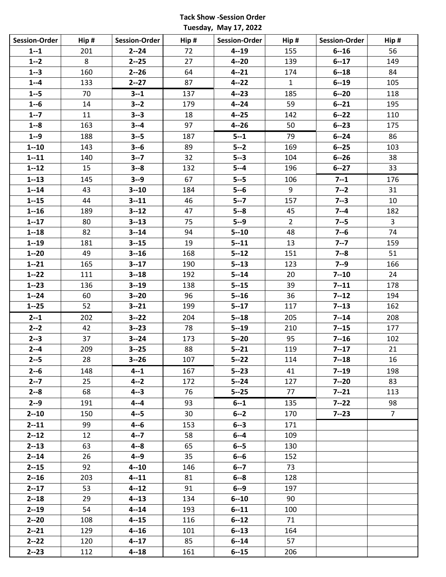### **Tack Show -Session Order Tuesday, May 17, 2022**

| <b>Session-Order</b> | Hip# | <b>Session-Order</b> | Hip# | Session-Order | Hip#           | <b>Session-Order</b> | Hip #           |
|----------------------|------|----------------------|------|---------------|----------------|----------------------|-----------------|
| $1 - 1$              | 201  | $2 - 24$             | 72   | $4 - 19$      | 155            | $6 - 16$             | 56              |
| $1 - 2$              | 8    | $2 - 25$             | 27   | $4 - 20$      | 139            | $6 - 17$             | 149             |
| $1 - 3$              | 160  | $2 - 26$             | 64   | $4 - 21$      | 174            | $6 - 18$             | 84              |
| $1 - 4$              | 133  | $2 - 27$             | 87   | $4 - 22$      | $\mathbf{1}$   | $6 - 19$             | 105             |
| $1 - 5$              | 70   | $3 - 1$              | 137  | $4 - 23$      | 185            | $6 - 20$             | 118             |
| $1 - 6$              | 14   | $3 - 2$              | 179  | $4 - 24$      | 59             | $6 - 21$             | 195             |
| $1 - 7$              | 11   | $3 - 3$              | 18   | $4 - 25$      | 142            | $6 - 22$             | 110             |
| $1 - 8$              | 163  | $3 - 4$              | 97   | $4 - 26$      | 50             | $6 - 23$             | 175             |
| $1 - 9$              | 188  | $3 - 5$              | 187  | $5 - 1$       | 79             | $6 - 24$             | 86              |
| $1 - 10$             | 143  | $3 - 6$              | 89   | $5 - 2$       | 169            | $6 - 25$             | 103             |
| $1 - 11$             | 140  | $3 - 7$              | 32   | $5 - 3$       | 104            | $6 - 26$             | 38              |
| $1 - 12$             | 15   | $3 - 8$              | 132  | $5 - 4$       | 196            | $6 - 27$             | 33              |
| $1 - 13$             | 145  | $3 - 9$              | 67   | $5 - 5$       | 106            | $7 - 1$              | 176             |
| $1 - 14$             | 43   | $3 - 10$             | 184  | $5 - 6$       | 9              | $7 - 2$              | 31              |
| $1 - 15$             | 44   | $3 - 11$             | 46   | $5 - 7$       | 157            | $7 - 3$              | 10              |
| $1 - 16$             | 189  | $3 - 12$             | 47   | $5 - 8$       | 45             | $7 - 4$              | 182             |
| $1 - 17$             | 80   | $3 - 13$             | 75   | $5 - 9$       | $\overline{2}$ | $7 - 5$              | 3               |
| $1 - 18$             | 82   | $3 - 14$             | 94   | $5 - 10$      | 48             | $7 - 6$              | 74              |
| $1 - 19$             | 181  | $3 - 15$             | 19   | $5 - 11$      | 13             | $7 - 7$              | 159             |
| $1 - 20$             | 49   | $3 - 16$             | 168  | $5 - 12$      | 151            | $7 - 8$              | 51              |
| $1 - 21$             | 165  | $3 - 17$             | 190  | $5 - 13$      | 123            | $7 - 9$              | 166             |
| $1 - 22$             | 111  | $3 - 18$             | 192  | $5 - 14$      | 20             | $7 - 10$             | 24              |
| $1 - 23$             | 136  | $3 - 19$             | 138  | $5 - 15$      | 39             | $7 - 11$             | 178             |
| $1 - 24$             | 60   | $3 - 20$             | 96   | $5 - 16$      | 36             | $7 - 12$             | 194             |
| $1 - 25$             | 52   | $3 - 21$             | 199  | $5 - 17$      | 117            | $7 - 13$             | 162             |
| $2 - 1$              | 202  | $3 - 22$             | 204  | $5 - 18$      | 205            | $7 - 14$             | 208             |
| $2 - 2$              | 42   | $3 - 23$             | 78   | $5 - 19$      | 210            | $7 - 15$             | 177             |
| $2 - 3$              | 37   | $3 - 24$             | 173  | $5 - 20$      | 95             | $7 - 16$             | 102             |
| $2 - 4$              | 209  | $3 - 25$             | 88   | $5 - 21$      | 119            | $7 - 17$             | 21              |
| $2 - 5$              | 28   | $3 - 26$             | 107  | $5 - 22$      | 114            | $7 - 18$             | 16              |
| $2 - 6$              | 148  | $4 - 1$              | 167  | $5 - 23$      | 41             | $7 - 19$             | 198             |
| $2 - 7$              | 25   | $4 - 2$              | 172  | $5 - 24$      | 127            | $7 - 20$             | 83              |
| $2 - 8$              | 68   | $4 - 3$              | 76   | $5 - 25$      | 77             | $7 - 21$             | 113             |
| $2 - 9$              | 191  | $4 - 4$              | 93   | $6 - 1$       | 135            | $7 - 22$             | 98              |
| $2 - 10$             | 150  | $4 - 5$              | 30   | $6 - 2$       | 170            | $7 - 23$             | $7\overline{ }$ |
| $2 - 11$             | 99   | $4 - 6$              | 153  | $6 - 3$       | 171            |                      |                 |
| $2 - 12$             | 12   | $4 - 7$              | 58   | $6 - 4$       | 109            |                      |                 |
| $2 - 13$             | 63   | $4 - 8$              | 65   | $6 - -5$      | 130            |                      |                 |
| $2 - 14$             | 26   | $4 - 9$              | 35   | $6 - 6$       | 152            |                      |                 |
| $2 - 15$             | 92   | $4 - 10$             | 146  | $6 - 7$       | 73             |                      |                 |
| $2 - 16$             | 203  | $4 - 11$             | 81   | $6 - 8$       | 128            |                      |                 |
| $2 - 17$             | 53   | $4 - 12$             | 91   | $6 - -9$      | 197            |                      |                 |
| $2 - 18$             | 29   | $4 - 13$             | 134  | $6 - 10$      | 90             |                      |                 |
| $2 - 19$             | 54   | $4 - 14$             | 193  | $6 - 11$      | 100            |                      |                 |
| $2 - 20$             | 108  | $4 - 15$             | 116  | $6 - 12$      | 71             |                      |                 |
| $2 - 21$             | 129  | $4 - 16$             | 101  | $6 - 13$      | 164            |                      |                 |
| $2 - 22$             | 120  | $4 - 17$             | 85   | $6 - 14$      | 57             |                      |                 |
| $2 - 23$             | 112  | $4 - 18$             | 161  | $6 - 15$      | 206            |                      |                 |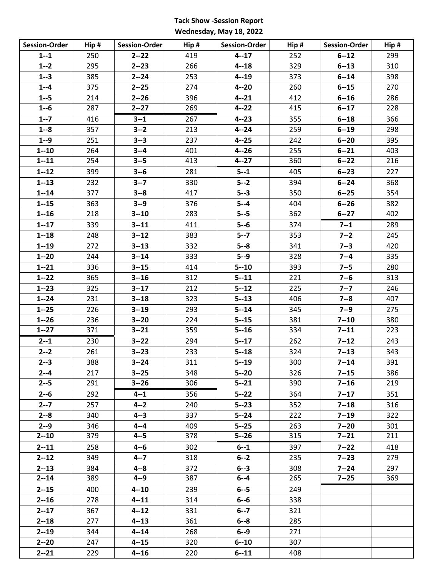## **Tack Show -Session Report Wednesday, May 18, 2022**

| <b>Session-Order</b> | Hip# | <b>Session-Order</b> | Hip # | <b>Session-Order</b> | Hip # | <b>Session-Order</b> | Hip# |
|----------------------|------|----------------------|-------|----------------------|-------|----------------------|------|
| $1 - 1$              | 250  | $2 - 22$             | 419   | $4 - 17$             | 252   | $6 - 12$             | 299  |
| $1 - 2$              | 295  | $2 - 23$             | 266   | $4 - 18$             | 329   | $6 - 13$             | 310  |
| $1 - 3$              | 385  | $2 - 24$             | 253   | $4 - 19$             | 373   | $6 - 14$             | 398  |
| $1 - 4$              | 375  | $2 - 25$             | 274   | $4 - 20$             | 260   | $6 - 15$             | 270  |
| $1 - 5$              | 214  | $2 - 26$             | 396   | $4 - 21$             | 412   | $6 - 16$             | 286  |
| $1 - 6$              | 287  | $2 - 27$             | 269   | $4 - 22$             | 415   | $6 - 17$             | 228  |
| $1 - 7$              | 416  | $3 - 1$              | 267   | $4 - 23$             | 355   | $6 - 18$             | 366  |
| $1 - 8$              | 357  | $3 - 2$              | 213   | $4 - 24$             | 259   | $6 - 19$             | 298  |
| $1 - 9$              | 251  | $3 - 3$              | 237   | $4 - 25$             | 242   | $6 - 20$             | 395  |
| $1 - 10$             | 264  | $3 - 4$              | 401   | $4 - 26$             | 255   | $6 - 21$             | 403  |
| $1 - 11$             | 254  | $3 - 5$              | 413   | $4 - 27$             | 360   | $6 - 22$             | 216  |
| $1 - 12$             | 399  | $3 - 6$              | 281   | $5 - 1$              | 405   | $6 - 23$             | 227  |
| $1 - 13$             | 232  | $3 - 7$              | 330   | $5 - 2$              | 394   | $6 - 24$             | 368  |
| $1 - 14$             | 377  | $3 - 8$              | 417   | $5 - 3$              | 350   | $6 - 25$             | 354  |
| $1 - 15$             | 363  | $3 - 9$              | 376   | $5 - -4$             | 404   | $6 - 26$             | 382  |
| $1 - 16$             | 218  | $3 - 10$             | 283   | $5 - 5$              | 362   | $6 - 27$             | 402  |
| $1 - 17$             | 339  | $3 - 11$             | 411   | $5 - 6$              | 374   | $7 - 1$              | 289  |
| $1 - 18$             | 248  | $3 - 12$             | 383   | $5 - 7$              | 353   | $7 - 2$              | 245  |
| $1 - 19$             | 272  | $3 - 13$             | 332   | $5 - 8$              | 341   | $7 - 3$              | 420  |
| $1 - 20$             | 244  | $3 - 14$             | 333   | $5 - 9$              | 328   | $7 - 4$              | 335  |
| $1 - 21$             | 336  | $3 - 15$             | 414   | $5 - 10$             | 393   | $7 - 5$              | 280  |
| $1 - 22$             | 365  | $3 - 16$             | 312   | $5 - 11$             | 221   | $7 - 6$              | 313  |
| $1 - 23$             | 325  | $3 - 17$             | 212   | $5 - 12$             | 225   | $7 - 7$              | 246  |
| $1 - 24$             | 231  | $3 - 18$             | 323   | $5 - 13$             | 406   | $7 - 8$              | 407  |
| $1 - 25$             | 226  | $3 - 19$             | 293   | $5 - 14$             | 345   | $7 - 9$              | 275  |
| $1 - 26$             | 236  | $3 - 20$             | 224   | $5 - 15$             | 381   | $7 - 10$             | 380  |
| $1 - 27$             | 371  | $3 - 21$             | 359   | $5 - 16$             | 334   | $7 - 11$             | 223  |
| $2 - 1$              | 230  | $3 - 22$             | 294   | $5 - 17$             | 262   | $7 - 12$             | 243  |
| $2 - 2$              | 261  | $3 - 23$             | 233   | $5 - 18$             | 324   | $7 - 13$             | 343  |
| $2 - 3$              | 388  | $3 - 24$             | 311   | $5 - 19$             | 300   | $7 - 14$             | 391  |
| $2 - 4$              | 217  | $3 - 25$             | 348   | $5 - 20$             | 326   | $7 - 15$             | 386  |
| $2 - 5$              | 291  | $3 - 26$             | 306   | $5 - 21$             | 390   | $7 - 16$             | 219  |
| $2 - 6$              | 292  | $4 - 1$              | 356   | $5 - 22$             | 364   | $7 - 17$             | 351  |
| $2 - 7$              | 257  | $4 - 2$              | 240   | $5 - 23$             | 352   | $7 - 18$             | 316  |
| $2 - 8$              | 340  | $4 - 3$              | 337   | $5 - 24$             | 222   | $7 - 19$             | 322  |
| $2 - 9$              | 346  | $4 - 4$              | 409   | $5 - 25$             | 263   | $7 - 20$             | 301  |
| $2 - 10$             | 379  | $4 - 5$              | 378   | $5 - 26$             | 315   | $7 - 21$             | 211  |
| $2 - 11$             | 258  | $4 - 6$              | 302   | $6 - 1$              | 397   | $7 - 22$             | 418  |
| $2 - 12$             | 349  | $4 - 7$              | 318   | $6 - 2$              | 235   | $7 - 23$             | 279  |
| $2 - 13$             | 384  | $4 - 8$              | 372   | $6 - 3$              | 308   | $7 - 24$             | 297  |
| $2 - 14$             | 389  | $4 - 9$              | 387   | $6 - 4$              | 265   | $7 - 25$             | 369  |
| $2 - 15$             | 400  | $4 - 10$             | 239   | $6 - -5$             | 249   |                      |      |
| $2 - 16$             | 278  | $4 - 11$             | 314   | $6 - 6$              | 338   |                      |      |
| $2 - 17$             | 367  | $4 - 12$             | 331   | $6 - 7$              | 321   |                      |      |
| $2 - 18$             | 277  | $4 - 13$             | 361   | $6 - 8$              | 285   |                      |      |
| $2 - 19$             | 344  | $4 - 14$             | 268   | $6 - -9$             | 271   |                      |      |
| $2 - 20$             | 247  | $4 - 15$             | 320   | $6 - 10$             | 307   |                      |      |
| $2 - 21$             | 229  | $4 - 16$             | 220   | $6 - 11$             | 408   |                      |      |